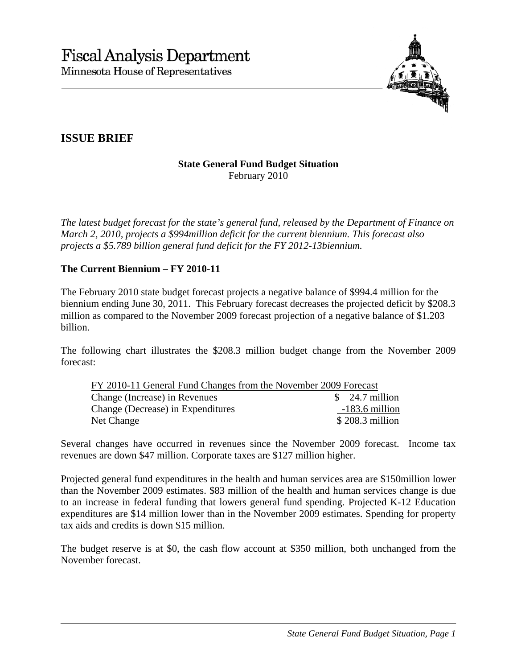

## **ISSUE BRIEF**

## **State General Fund Budget Situation**  February 2010

*The latest budget forecast for the state's general fund, released by the Department of Finance on March 2, 2010, projects a \$994million deficit for the current biennium. This forecast also projects a \$5.789 billion general fund deficit for the FY 2012-13biennium.* 

## **The Current Biennium – FY 2010-11**

The February 2010 state budget forecast projects a negative balance of \$994.4 million for the biennium ending June 30, 2011. This February forecast decreases the projected deficit by \$208.3 million as compared to the November 2009 forecast projection of a negative balance of \$1.203 billion.

The following chart illustrates the \$208.3 million budget change from the November 2009 forecast:

| FY 2010-11 General Fund Changes from the November 2009 Forecast |                  |
|-----------------------------------------------------------------|------------------|
| Change (Increase) in Revenues                                   | $$24.7$ million  |
| Change (Decrease) in Expenditures                               | $-183.6$ million |
| Net Change                                                      | $$208.3$ million |

Several changes have occurred in revenues since the November 2009 forecast. Income tax revenues are down \$47 million. Corporate taxes are \$127 million higher.

Projected general fund expenditures in the health and human services area are \$150million lower than the November 2009 estimates. \$83 million of the health and human services change is due to an increase in federal funding that lowers general fund spending. Projected K-12 Education expenditures are \$14 million lower than in the November 2009 estimates. Spending for property tax aids and credits is down \$15 million.

The budget reserve is at \$0, the cash flow account at \$350 million, both unchanged from the November forecast.